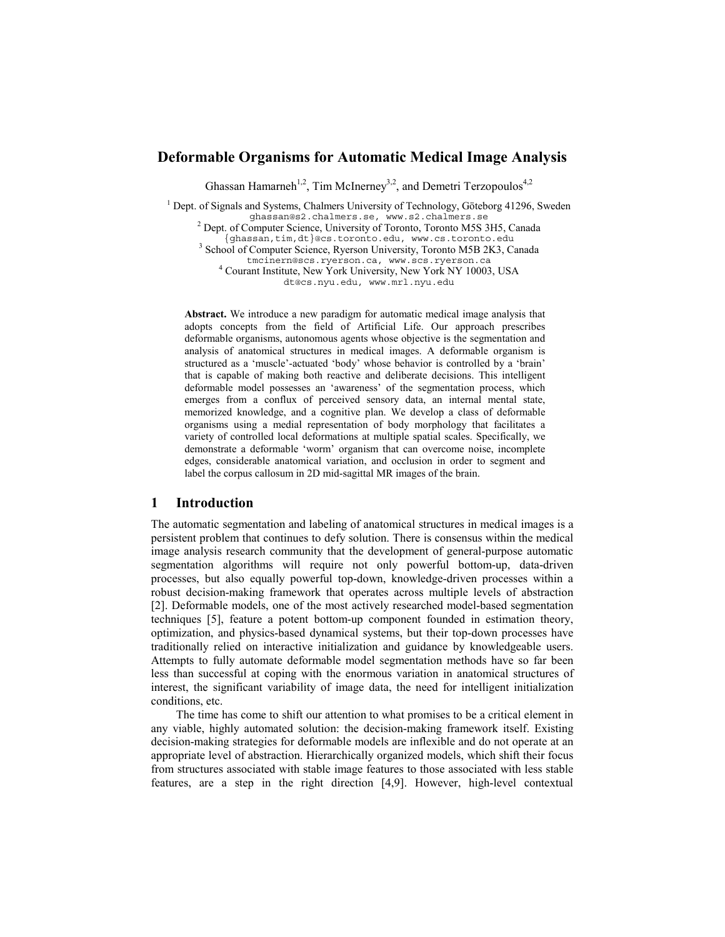# **Deformable Organisms for Automatic Medical Image Analysis**

Ghassan Hamarneh<sup>1,2</sup>, Tim McInerney<sup>3,2</sup>, and Demetri Terzopoulos<sup>4,2</sup>

<sup>1</sup> Dept. of Signals and Systems, Chalmers University of Technology, Göteborg 41296, Sweden ghassan@s2.chalmers.se, www.s2.chalmers.se <sup>2</sup> <sup>2</sup> Dept. of Computer Science, University of Toronto, Toronto M5S 3H5, Canada {ghassan,tim,dt}@cs.toronto.edu, www.cs.toronto.edu <sup>3</sup> <sup>3</sup> School of Computer Science, Ryerson University, Toronto M5B 2K3, Canada tmcinern@scs.ryerson.ca, www.scs.ryerson.ca <sup>4</sup> Courant Institute, New York University, New York NY 10003, USA dt@cs.nyu.edu, www.mrl.nyu.edu

**Abstract.** We introduce a new paradigm for automatic medical image analysis that adopts concepts from the field of Artificial Life. Our approach prescribes deformable organisms, autonomous agents whose objective is the segmentation and analysis of anatomical structures in medical images. A deformable organism is structured as a 'muscle'-actuated 'body' whose behavior is controlled by a 'brain' that is capable of making both reactive and deliberate decisions. This intelligent deformable model possesses an 'awareness' of the segmentation process, which emerges from a conflux of perceived sensory data, an internal mental state, memorized knowledge, and a cognitive plan. We develop a class of deformable organisms using a medial representation of body morphology that facilitates a variety of controlled local deformations at multiple spatial scales. Specifically, we demonstrate a deformable 'worm' organism that can overcome noise, incomplete edges, considerable anatomical variation, and occlusion in order to segment and label the corpus callosum in 2D mid-sagittal MR images of the brain.

## **1 Introduction**

The automatic segmentation and labeling of anatomical structures in medical images is a persistent problem that continues to defy solution. There is consensus within the medical image analysis research community that the development of general-purpose automatic segmentation algorithms will require not only powerful bottom-up, data-driven processes, but also equally powerful top-down, knowledge-driven processes within a robust decision-making framework that operates across multiple levels of abstraction [2]. Deformable models, one of the most actively researched model-based segmentation techniques [5], feature a potent bottom-up component founded in estimation theory, optimization, and physics-based dynamical systems, but their top-down processes have traditionally relied on interactive initialization and guidance by knowledgeable users. Attempts to fully automate deformable model segmentation methods have so far been less than successful at coping with the enormous variation in anatomical structures of interest, the significant variability of image data, the need for intelligent initialization conditions, etc.

 The time has come to shift our attention to what promises to be a critical element in any viable, highly automated solution: the decision-making framework itself. Existing decision-making strategies for deformable models are inflexible and do not operate at an appropriate level of abstraction. Hierarchically organized models, which shift their focus from structures associated with stable image features to those associated with less stable features, are a step in the right direction [4,9]. However, high-level contextual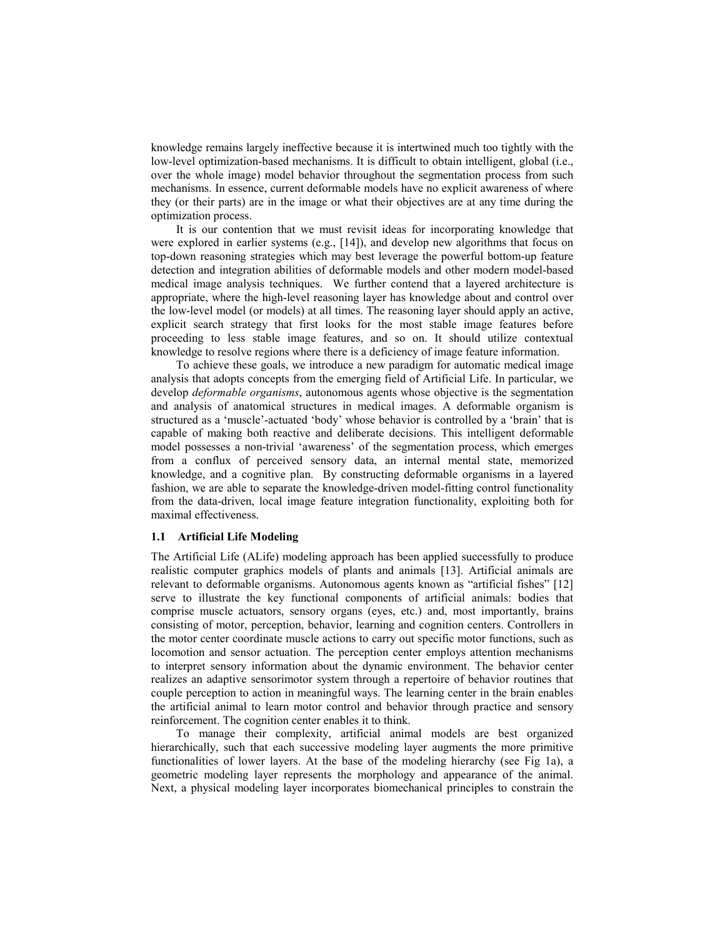knowledge remains largely ineffective because it is intertwined much too tightly with the low-level optimization-based mechanisms. It is difficult to obtain intelligent, global (i.e., over the whole image) model behavior throughout the segmentation process from such mechanisms. In essence, current deformable models have no explicit awareness of where they (or their parts) are in the image or what their objectives are at any time during the optimization process.

 It is our contention that we must revisit ideas for incorporating knowledge that were explored in earlier systems (e.g.,  $[14]$ ), and develop new algorithms that focus on top-down reasoning strategies which may best leverage the powerful bottom-up feature detection and integration abilities of deformable models and other modern model-based medical image analysis techniques. We further contend that a layered architecture is appropriate, where the high-level reasoning layer has knowledge about and control over the low-level model (or models) at all times. The reasoning layer should apply an active, explicit search strategy that first looks for the most stable image features before proceeding to less stable image features, and so on. It should utilize contextual knowledge to resolve regions where there is a deficiency of image feature information.

 To achieve these goals, we introduce a new paradigm for automatic medical image analysis that adopts concepts from the emerging field of Artificial Life. In particular, we develop *deformable organisms*, autonomous agents whose objective is the segmentation and analysis of anatomical structures in medical images. A deformable organism is structured as a 'muscle'-actuated 'body' whose behavior is controlled by a 'brain' that is capable of making both reactive and deliberate decisions. This intelligent deformable model possesses a non-trivial 'awareness' of the segmentation process, which emerges from a conflux of perceived sensory data, an internal mental state, memorized knowledge, and a cognitive plan. By constructing deformable organisms in a layered fashion, we are able to separate the knowledge-driven model-fitting control functionality from the data-driven, local image feature integration functionality, exploiting both for maximal effectiveness.

#### **1.1 Artificial Life Modeling**

The Artificial Life (ALife) modeling approach has been applied successfully to produce realistic computer graphics models of plants and animals [13]. Artificial animals are relevant to deformable organisms. Autonomous agents known as "artificial fishes" [12] serve to illustrate the key functional components of artificial animals: bodies that comprise muscle actuators, sensory organs (eyes, etc.) and, most importantly, brains consisting of motor, perception, behavior, learning and cognition centers. Controllers in the motor center coordinate muscle actions to carry out specific motor functions, such as locomotion and sensor actuation. The perception center employs attention mechanisms to interpret sensory information about the dynamic environment. The behavior center realizes an adaptive sensorimotor system through a repertoire of behavior routines that couple perception to action in meaningful ways. The learning center in the brain enables the artificial animal to learn motor control and behavior through practice and sensory reinforcement. The cognition center enables it to think.

 To manage their complexity, artificial animal models are best organized hierarchically, such that each successive modeling layer augments the more primitive functionalities of lower layers. At the base of the modeling hierarchy (see Fig 1a), a geometric modeling layer represents the morphology and appearance of the animal. Next, a physical modeling layer incorporates biomechanical principles to constrain the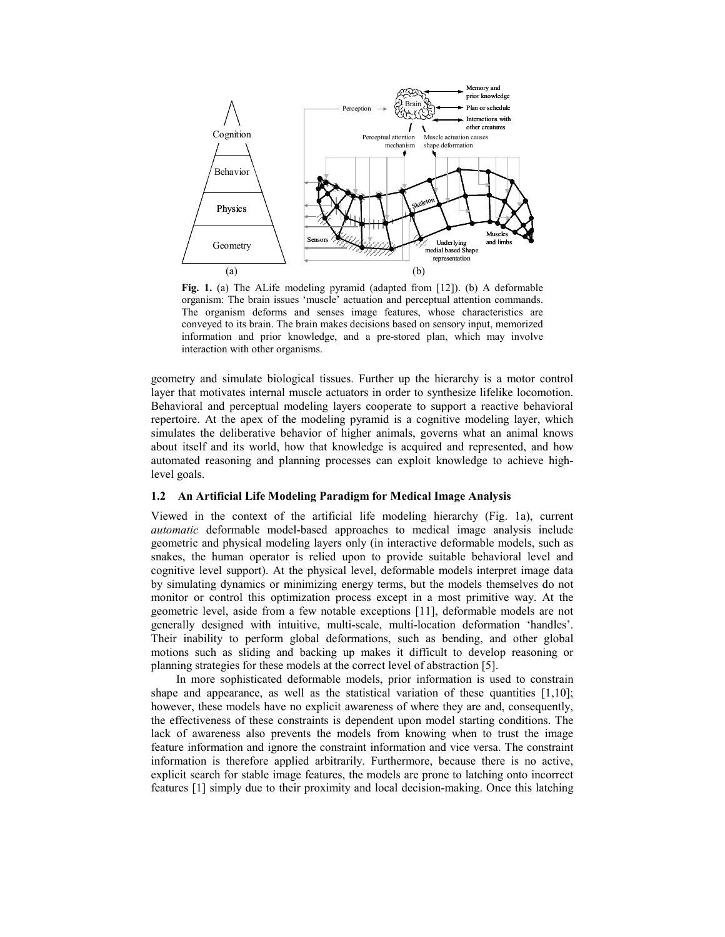

Fig. 1. (a) The ALife modeling pyramid (adapted from [12]). (b) A deformable organism: The brain issues 'muscle' actuation and perceptual attention commands. The organism deforms and senses image features, whose characteristics are conveyed to its brain. The brain makes decisions based on sensory input, memorized information and prior knowledge, and a pre-stored plan, which may involve interaction with other organisms.

geometry and simulate biological tissues. Further up the hierarchy is a motor control layer that motivates internal muscle actuators in order to synthesize lifelike locomotion. Behavioral and perceptual modeling layers cooperate to support a reactive behavioral repertoire. At the apex of the modeling pyramid is a cognitive modeling layer, which simulates the deliberative behavior of higher animals, governs what an animal knows about itself and its world, how that knowledge is acquired and represented, and how automated reasoning and planning processes can exploit knowledge to achieve highlevel goals.

#### **1.2 An Artificial Life Modeling Paradigm for Medical Image Analysis**

Viewed in the context of the artificial life modeling hierarchy (Fig. 1a), current *automatic* deformable model-based approaches to medical image analysis include geometric and physical modeling layers only (in interactive deformable models, such as snakes, the human operator is relied upon to provide suitable behavioral level and cognitive level support). At the physical level, deformable models interpret image data by simulating dynamics or minimizing energy terms, but the models themselves do not monitor or control this optimization process except in a most primitive way. At the geometric level, aside from a few notable exceptions [11], deformable models are not generally designed with intuitive, multi-scale, multi-location deformation 'handles'. Their inability to perform global deformations, such as bending, and other global motions such as sliding and backing up makes it difficult to develop reasoning or planning strategies for these models at the correct level of abstraction [5].

 In more sophisticated deformable models, prior information is used to constrain shape and appearance, as well as the statistical variation of these quantities [1,10]; however, these models have no explicit awareness of where they are and, consequently, the effectiveness of these constraints is dependent upon model starting conditions. The lack of awareness also prevents the models from knowing when to trust the image feature information and ignore the constraint information and vice versa. The constraint information is therefore applied arbitrarily. Furthermore, because there is no active, explicit search for stable image features, the models are prone to latching onto incorrect features [1] simply due to their proximity and local decision-making. Once this latching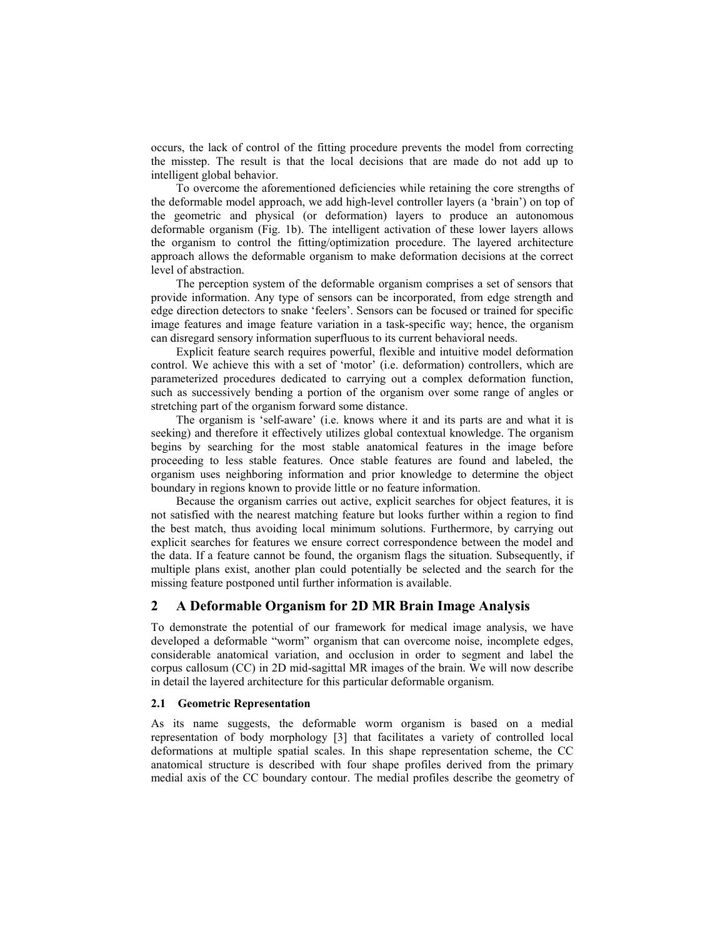occurs, the lack of control of the fitting procedure prevents the model from correcting the misstep. The result is that the local decisions that are made do not add up to intelligent global behavior.

 To overcome the aforementioned deficiencies while retaining the core strengths of the deformable model approach, we add high-level controller layers (a 'brain') on top of the geometric and physical (or deformation) layers to produce an autonomous deformable organism (Fig. 1b). The intelligent activation of these lower layers allows the organism to control the fitting/optimization procedure. The layered architecture approach allows the deformable organism to make deformation decisions at the correct level of abstraction.

 The perception system of the deformable organism comprises a set of sensors that provide information. Any type of sensors can be incorporated, from edge strength and edge direction detectors to snake 'feelers'. Sensors can be focused or trained for specific image features and image feature variation in a task-specific way; hence, the organism can disregard sensory information superfluous to its current behavioral needs.

 Explicit feature search requires powerful, flexible and intuitive model deformation control. We achieve this with a set of 'motor' (i.e. deformation) controllers, which are parameterized procedures dedicated to carrying out a complex deformation function, such as successively bending a portion of the organism over some range of angles or stretching part of the organism forward some distance.

 The organism is 'self-aware' (i.e. knows where it and its parts are and what it is seeking) and therefore it effectively utilizes global contextual knowledge. The organism begins by searching for the most stable anatomical features in the image before proceeding to less stable features. Once stable features are found and labeled, the organism uses neighboring information and prior knowledge to determine the object boundary in regions known to provide little or no feature information.

 Because the organism carries out active, explicit searches for object features, it is not satisfied with the nearest matching feature but looks further within a region to find the best match, thus avoiding local minimum solutions. Furthermore, by carrying out explicit searches for features we ensure correct correspondence between the model and the data. If a feature cannot be found, the organism flags the situation. Subsequently, if multiple plans exist, another plan could potentially be selected and the search for the missing feature postponed until further information is available.

## **2 A Deformable Organism for 2D MR Brain Image Analysis**

To demonstrate the potential of our framework for medical image analysis, we have developed a deformable "worm" organism that can overcome noise, incomplete edges, considerable anatomical variation, and occlusion in order to segment and label the corpus callosum (CC) in 2D mid-sagittal MR images of the brain. We will now describe in detail the layered architecture for this particular deformable organism.

#### **2.1 Geometric Representation**

As its name suggests, the deformable worm organism is based on a medial representation of body morphology [3] that facilitates a variety of controlled local deformations at multiple spatial scales. In this shape representation scheme, the CC anatomical structure is described with four shape profiles derived from the primary medial axis of the CC boundary contour. The medial profiles describe the geometry of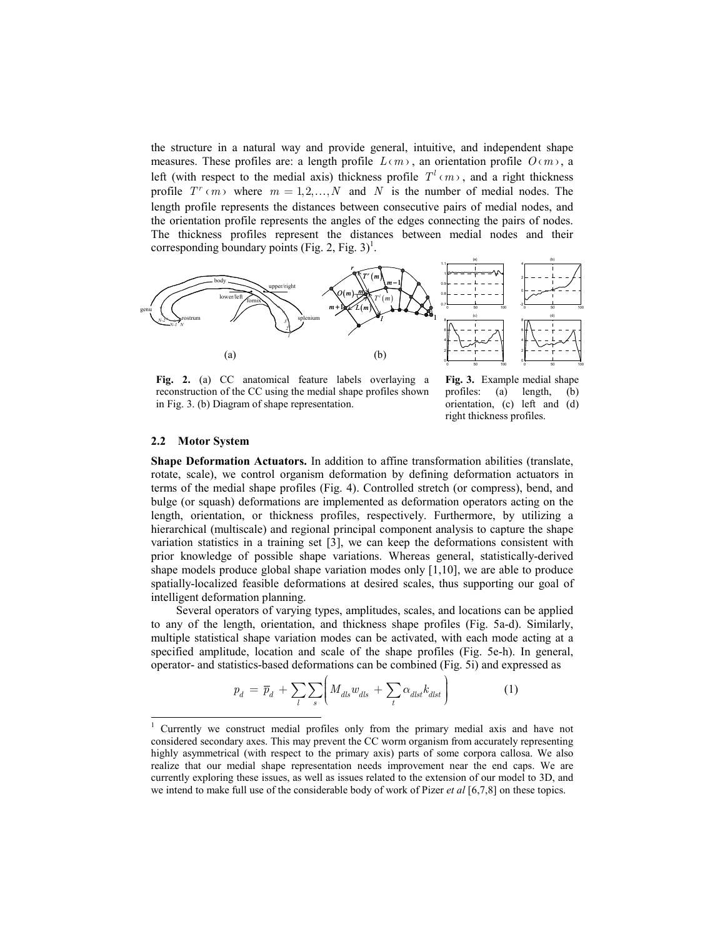the structure in a natural way and provide general, intuitive, and independent shape measures. These profiles are: a length profile  $L(m)$ , an orientation profile  $O(m)$ , a left (with respect to the medial axis) thickness profile  $T^l$  (*m*), and a right thickness profile  $T^r$  *(m)* where  $m = 1, 2, ..., N$  and *N* is the number of medial nodes. The length profile represents the distances between consecutive pairs of medial nodes, and the orientation profile represents the angles of the edges connecting the pairs of nodes. The thickness profiles represent the distances between medial nodes and their corresponding boundary points (Fig. 2, Fig.  $3$ )<sup>1</sup>.



**Fig. 2.** (a) CC anatomical feature labels overlaying a reconstruction of the CC using the medial shape profiles shown in Fig. 3. (b) Diagram of shape representation.

**Fig. 3.** Example medial shape profiles: (a) length, (b) orientation, (c) left and (d) right thickness profiles.

#### **2.2 Motor System**

 $\overline{a}$ 

**Shape Deformation Actuators.** In addition to affine transformation abilities (translate, rotate, scale), we control organism deformation by defining deformation actuators in terms of the medial shape profiles (Fig. 4). Controlled stretch (or compress), bend, and bulge (or squash) deformations are implemented as deformation operators acting on the length, orientation, or thickness profiles, respectively. Furthermore, by utilizing a hierarchical (multiscale) and regional principal component analysis to capture the shape variation statistics in a training set [3], we can keep the deformations consistent with prior knowledge of possible shape variations. Whereas general, statistically-derived shape models produce global shape variation modes only  $[1,10]$ , we are able to produce spatially-localized feasible deformations at desired scales, thus supporting our goal of intelligent deformation planning.

 Several operators of varying types, amplitudes, scales, and locations can be applied to any of the length, orientation, and thickness shape profiles (Fig. 5a-d). Similarly, multiple statistical shape variation modes can be activated, with each mode acting at a specified amplitude, location and scale of the shape profiles (Fig. 5e-h). In general, operator- and statistics-based deformations can be combined (Fig. 5i) and expressed as

$$
p_d = \overline{p}_d + \sum_l \sum_s \left( M_{dls} w_{dls} + \sum_t \alpha_{dlst} k_{dlst} \right) \tag{1}
$$

<sup>1</sup> Currently we construct medial profiles only from the primary medial axis and have not considered secondary axes. This may prevent the CC worm organism from accurately representing highly asymmetrical (with respect to the primary axis) parts of some corpora callosa. We also realize that our medial shape representation needs improvement near the end caps. We are currently exploring these issues, as well as issues related to the extension of our model to 3D, and we intend to make full use of the considerable body of work of Pizer *et al* [6,7,8] on these topics.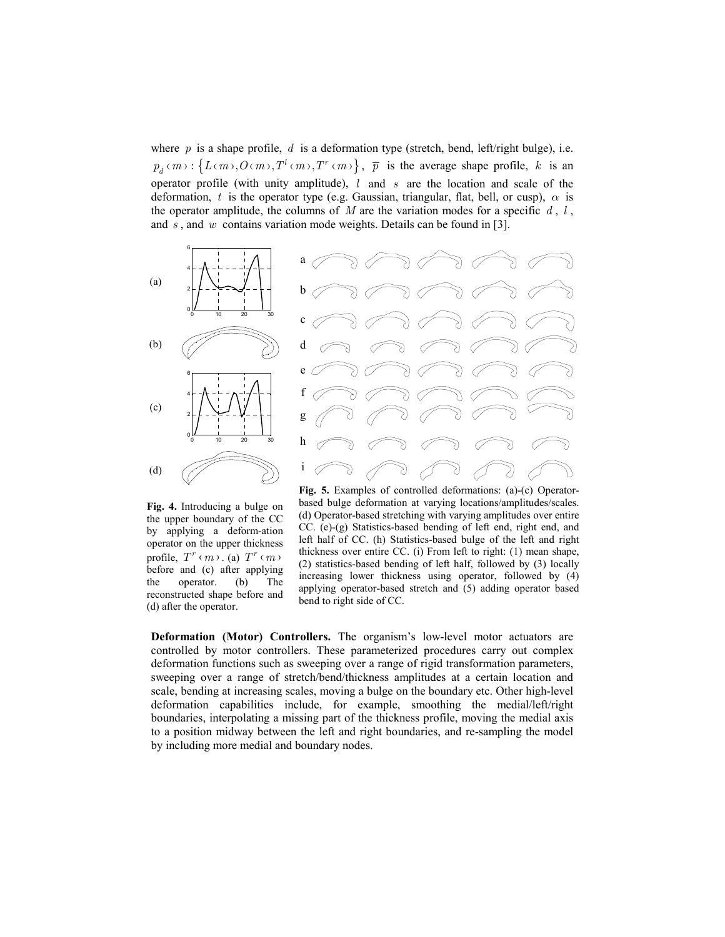where  $p$  is a shape profile,  $d$  is a deformation type (stretch, bend, left/right bulge), i.e.  $p_d(m): \{L(m), O(m), T^l(m), T^r(m)\}, \ \overline{p}$  is the average shape profile, *k* is an operator profile (with unity amplitude), *l* and *s* are the location and scale of the deformation, t is the operator type (e.g. Gaussian, triangular, flat, bell, or cusp),  $\alpha$  is the operator amplitude, the columns of *M* are the variation modes for a specific  $d$ ,  $l$ , and *s* , and *w* contains variation mode weights. Details can be found in [3].



**Fig. 4.** Introducing a bulge on the upper boundary of the CC by applying a deform-ation operator on the upper thickness profile,  $T^r$   $(m)$ . (a)  $T^r$   $(m)$ before and (c) after applying the operator. (b) The reconstructed shape before and (d) after the operator.

**Fig. 5.** Examples of controlled deformations: (a)-(c) Operatorbased bulge deformation at varying locations/amplitudes/scales. (d) Operator-based stretching with varying amplitudes over entire CC. (e)-(g) Statistics-based bending of left end, right end, and left half of CC. (h) Statistics-based bulge of the left and right thickness over entire CC. (i) From left to right: (1) mean shape, (2) statistics-based bending of left half, followed by (3) locally increasing lower thickness using operator, followed by (4) applying operator-based stretch and (5) adding operator based bend to right side of CC.

**Deformation (Motor) Controllers.** The organism's low-level motor actuators are controlled by motor controllers. These parameterized procedures carry out complex deformation functions such as sweeping over a range of rigid transformation parameters, sweeping over a range of stretch/bend/thickness amplitudes at a certain location and scale, bending at increasing scales, moving a bulge on the boundary etc. Other high-level deformation capabilities include, for example, smoothing the medial/left/right boundaries, interpolating a missing part of the thickness profile, moving the medial axis to a position midway between the left and right boundaries, and re-sampling the model by including more medial and boundary nodes.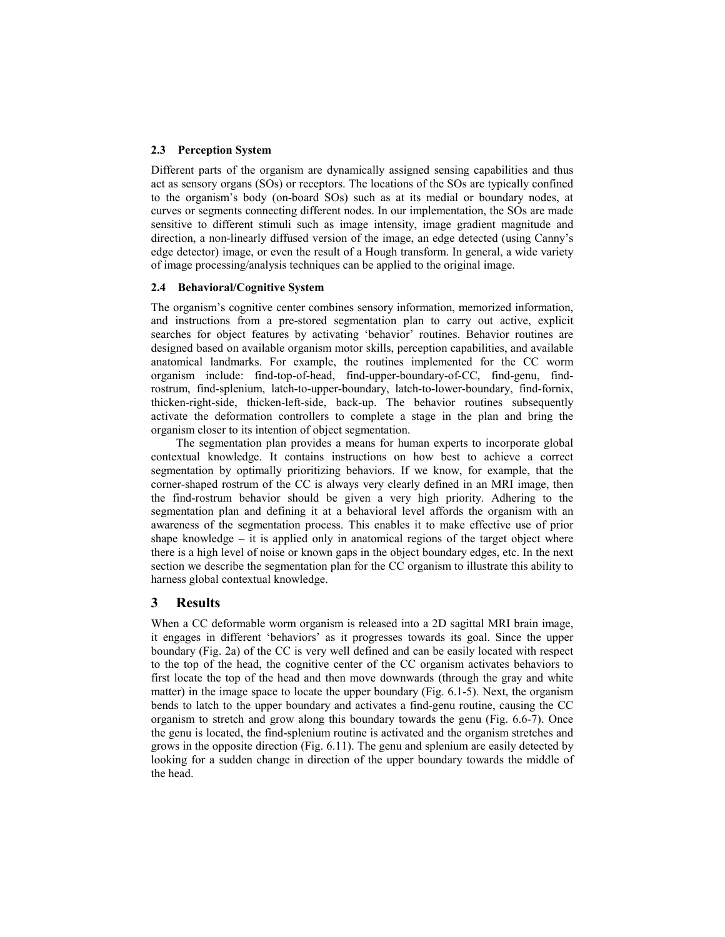## **2.3 Perception System**

Different parts of the organism are dynamically assigned sensing capabilities and thus act as sensory organs (SOs) or receptors. The locations of the SOs are typically confined to the organism's body (on-board SOs) such as at its medial or boundary nodes, at curves or segments connecting different nodes. In our implementation, the SOs are made sensitive to different stimuli such as image intensity, image gradient magnitude and direction, a non-linearly diffused version of the image, an edge detected (using Canny's edge detector) image, or even the result of a Hough transform. In general, a wide variety of image processing/analysis techniques can be applied to the original image.

#### **2.4 Behavioral/Cognitive System**

The organism's cognitive center combines sensory information, memorized information, and instructions from a pre-stored segmentation plan to carry out active, explicit searches for object features by activating 'behavior' routines. Behavior routines are designed based on available organism motor skills, perception capabilities, and available anatomical landmarks. For example, the routines implemented for the CC worm organism include: find-top-of-head, find-upper-boundary-of-CC, find-genu, findrostrum, find-splenium, latch-to-upper-boundary, latch-to-lower-boundary, find-fornix, thicken-right-side, thicken-left-side, back-up. The behavior routines subsequently activate the deformation controllers to complete a stage in the plan and bring the organism closer to its intention of object segmentation.

 The segmentation plan provides a means for human experts to incorporate global contextual knowledge. It contains instructions on how best to achieve a correct segmentation by optimally prioritizing behaviors. If we know, for example, that the corner-shaped rostrum of the CC is always very clearly defined in an MRI image, then the find-rostrum behavior should be given a very high priority. Adhering to the segmentation plan and defining it at a behavioral level affords the organism with an awareness of the segmentation process. This enables it to make effective use of prior shape knowledge  $-$  it is applied only in anatomical regions of the target object where there is a high level of noise or known gaps in the object boundary edges, etc. In the next section we describe the segmentation plan for the CC organism to illustrate this ability to harness global contextual knowledge.

## **3 Results**

When a CC deformable worm organism is released into a 2D sagittal MRI brain image, it engages in different 'behaviors' as it progresses towards its goal. Since the upper boundary (Fig. 2a) of the CC is very well defined and can be easily located with respect to the top of the head, the cognitive center of the CC organism activates behaviors to first locate the top of the head and then move downwards (through the gray and white matter) in the image space to locate the upper boundary (Fig. 6.1-5). Next, the organism bends to latch to the upper boundary and activates a find-genu routine, causing the CC organism to stretch and grow along this boundary towards the genu (Fig. 6.6-7). Once the genu is located, the find-splenium routine is activated and the organism stretches and grows in the opposite direction (Fig. 6.11). The genu and splenium are easily detected by looking for a sudden change in direction of the upper boundary towards the middle of the head.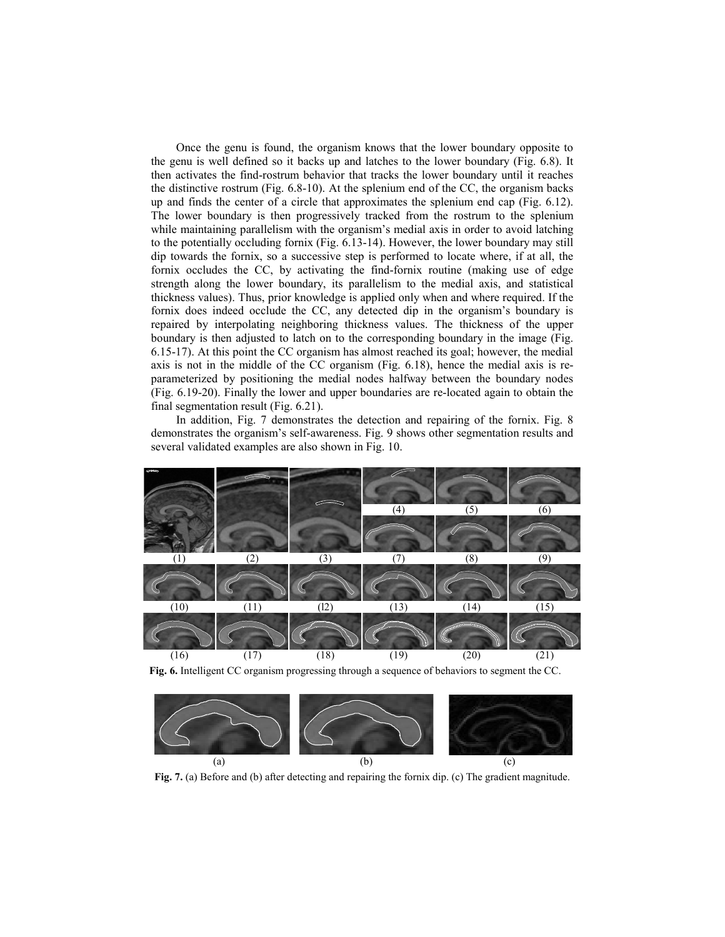Once the genu is found, the organism knows that the lower boundary opposite to the genu is well defined so it backs up and latches to the lower boundary (Fig. 6.8). It then activates the find-rostrum behavior that tracks the lower boundary until it reaches the distinctive rostrum (Fig. 6.8-10). At the splenium end of the CC, the organism backs up and finds the center of a circle that approximates the splenium end cap (Fig. 6.12). The lower boundary is then progressively tracked from the rostrum to the splenium while maintaining parallelism with the organism's medial axis in order to avoid latching to the potentially occluding fornix (Fig. 6.13-14). However, the lower boundary may still dip towards the fornix, so a successive step is performed to locate where, if at all, the fornix occludes the CC, by activating the find-fornix routine (making use of edge strength along the lower boundary, its parallelism to the medial axis, and statistical thickness values). Thus, prior knowledge is applied only when and where required. If the fornix does indeed occlude the CC, any detected dip in the organism's boundary is repaired by interpolating neighboring thickness values. The thickness of the upper boundary is then adjusted to latch on to the corresponding boundary in the image (Fig. 6.15-17). At this point the CC organism has almost reached its goal; however, the medial axis is not in the middle of the CC organism (Fig. 6.18), hence the medial axis is reparameterized by positioning the medial nodes halfway between the boundary nodes (Fig. 6.19-20). Finally the lower and upper boundaries are re-located again to obtain the final segmentation result (Fig. 6.21).

 In addition, Fig. 7 demonstrates the detection and repairing of the fornix. Fig. 8 demonstrates the organism's self-awareness. Fig. 9 shows other segmentation results and several validated examples are also shown in Fig. 10.



**Fig. 6.** Intelligent CC organism progressing through a sequence of behaviors to segment the CC.



**Fig. 7.** (a) Before and (b) after detecting and repairing the fornix dip. (c) The gradient magnitude.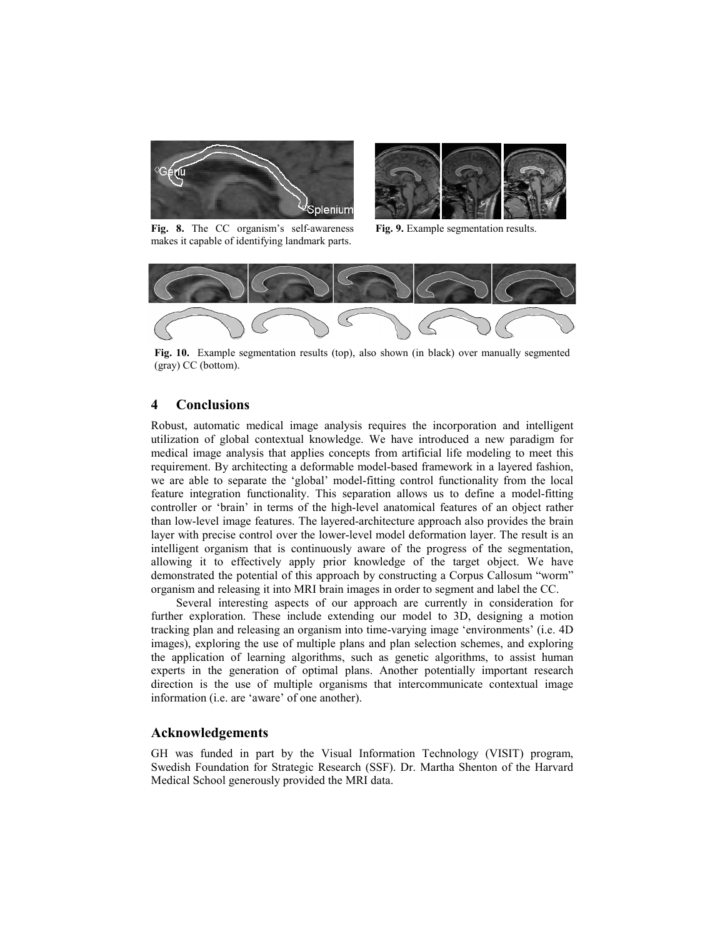



**Fig. 8.** The CC organism's self-awareness makes it capable of identifying landmark parts.

**Fig. 9.** Example segmentation results.



**Fig. 10.** Example segmentation results (top), also shown (in black) over manually segmented (gray) CC (bottom).

## **4 Conclusions**

Robust, automatic medical image analysis requires the incorporation and intelligent utilization of global contextual knowledge. We have introduced a new paradigm for medical image analysis that applies concepts from artificial life modeling to meet this requirement. By architecting a deformable model-based framework in a layered fashion, we are able to separate the 'global' model-fitting control functionality from the local feature integration functionality. This separation allows us to define a model-fitting controller or 'brain' in terms of the high-level anatomical features of an object rather than low-level image features. The layered-architecture approach also provides the brain layer with precise control over the lower-level model deformation layer. The result is an intelligent organism that is continuously aware of the progress of the segmentation, allowing it to effectively apply prior knowledge of the target object. We have demonstrated the potential of this approach by constructing a Corpus Callosum "worm" organism and releasing it into MRI brain images in order to segment and label the CC.

 Several interesting aspects of our approach are currently in consideration for further exploration. These include extending our model to 3D, designing a motion tracking plan and releasing an organism into time-varying image 'environments' (i.e. 4D images), exploring the use of multiple plans and plan selection schemes, and exploring the application of learning algorithms, such as genetic algorithms, to assist human experts in the generation of optimal plans. Another potentially important research direction is the use of multiple organisms that intercommunicate contextual image information (i.e. are 'aware' of one another).

## **Acknowledgements**

GH was funded in part by the Visual Information Technology (VISIT) program, Swedish Foundation for Strategic Research (SSF). Dr. Martha Shenton of the Harvard Medical School generously provided the MRI data.